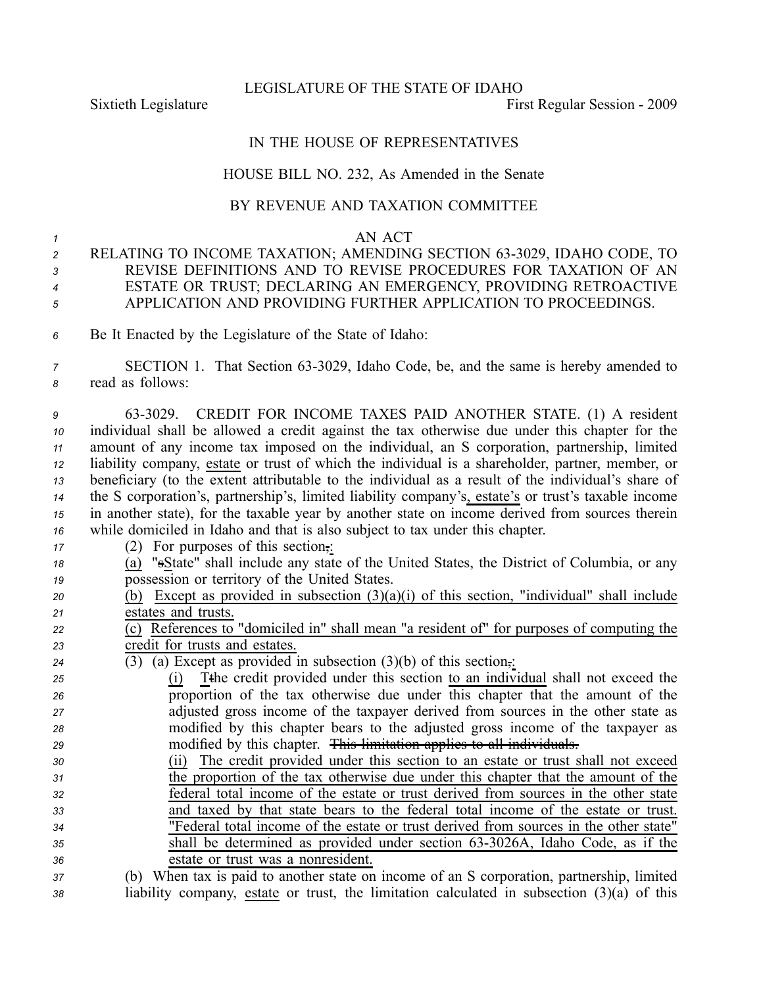LEGISLATURE OF THE STATE OF IDAHO

Sixtieth Legislature **First** Regular Session - 2009

## IN THE HOUSE OF REPRESENTATIVES

## HOUSE BILL NO. 232, As Amended in the Senate

## BY REVENUE AND TAXATION COMMITTEE

## *1* AN ACT

- *<sup>2</sup>* RELATING TO INCOME TAXATION; AMENDING SECTION 633029, IDAHO CODE, TO *3* REVISE DEFINITIONS AND TO REVISE PROCEDURES FOR TAXATION OF AN *<sup>4</sup>* ESTATE OR TRUST; DECLARING AN EMERGENCY, PROVIDING RETROACTIVE *<sup>5</sup>* APPLICATION AND PROVIDING FURTHER APPLICATION TO PROCEEDINGS.
- *<sup>6</sup>* Be It Enacted by the Legislature of the State of Idaho:

*<sup>7</sup>* SECTION 1. That Section 633029, Idaho Code, be, and the same is hereby amended to *<sup>8</sup>* read as follows:

 633029. CREDIT FOR INCOME TAXES PAID ANOTHER STATE. (1) A resident individual shall be allowed <sup>a</sup> credit against the tax otherwise due under this chapter for the amount of any income tax imposed on the individual, an S corporation, partnership, limited liability company, estate or trust of which the individual is <sup>a</sup> shareholder, partner, member, or beneficiary (to the extent attributable to the individual as <sup>a</sup> result of the individual's share of the S corporation's, partnership's, limited liability company's, estate's or trust's taxable income in another state), for the taxable year by another state on income derived from sources therein while domiciled in Idaho and that is also subject to tax under this chapter.

- *<sup>17</sup>* (2) For purposes of this section,:
- *<sup>18</sup>* (a) "sState" shall include any state of the United States, the District of Columbia, or any *<sup>19</sup>* possession or territory of the United States.
- *<sup>20</sup>* (b) Except as provided in subsection (3)(a)(i) of this section, "individual" shall include *<sup>21</sup>* estates and trusts.

*<sup>22</sup>* (c) References to "domiciled in" shall mean "a resident of" for purposes of computing the *<sup>23</sup>* credit for trusts and estates.

- *<sup>24</sup>* (3) (a) Except as provided in subsection (3)(b) of this section,:
- *<sup>25</sup>* (i) Tthe credit provided under this section to an individual shall not exceed the *<sup>26</sup>* proportion of the tax otherwise due under this chapter that the amount of the *<sup>27</sup>* adjusted gross income of the taxpayer derived from sources in the other state as *<sup>28</sup>* modified by this chapter bears to the adjusted gross income of the taxpayer as *<sup>29</sup>* modified by this chapter. This limitation applies to all individuals.
- *<sup>30</sup>* (ii) The credit provided under this section to an estate or trust shall not exceed *<sup>31</sup>* the proportion of the tax otherwise due under this chapter that the amount of the *<sup>32</sup>* federal total income of the estate or trust derived from sources in the other state *<sup>33</sup>* and taxed by that state bears to the federal total income of the estate or trust. *<sup>34</sup>* "Federal total income of the estate or trust derived from sources in the other state" *35* shall be determined as provided under section 63-3026A, Idaho Code, as if the *<sup>36</sup>* estate or trust was <sup>a</sup> nonresident.
- *<sup>37</sup>* (b) When tax is paid to another state on income of an S corporation, partnership, limited *<sup>38</sup>* liability company, estate or trust, the limitation calculated in subsection (3)(a) of this